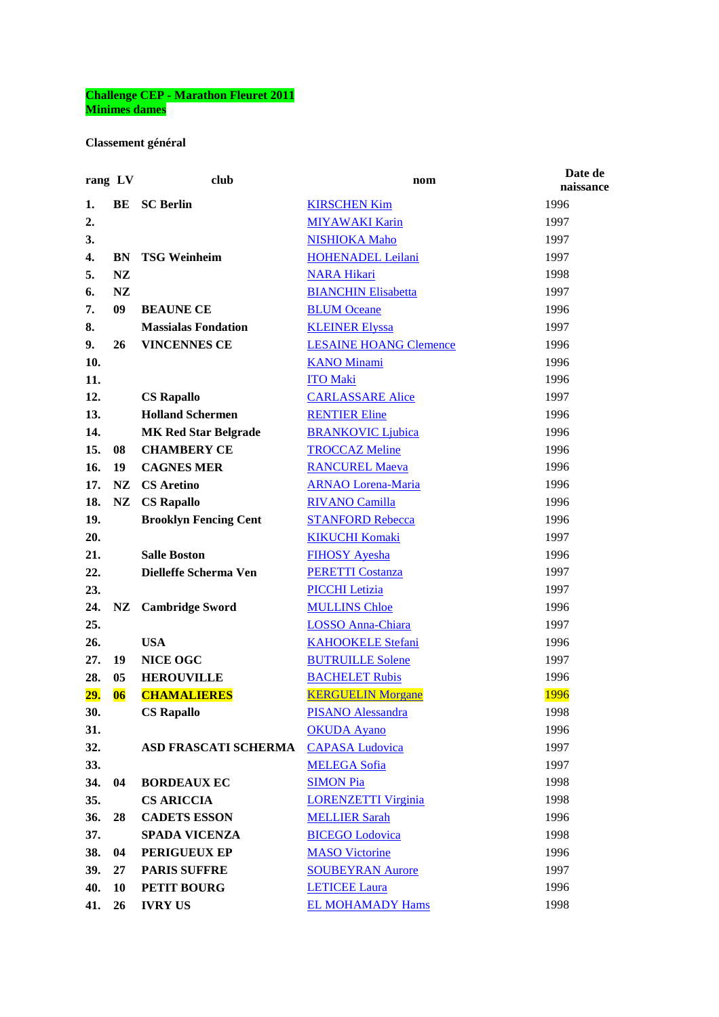## **Challenge CEP - Marathon Fleuret 2011 Minimes dames**

**Classement général**

| rang LV |                         | club                         | nom                           | Date de<br>naissance |
|---------|-------------------------|------------------------------|-------------------------------|----------------------|
| 1.      | BE                      | <b>SC Berlin</b>             | <b>KIRSCHEN Kim</b>           | 1996                 |
| 2.      |                         |                              | <b>MIYAWAKI Karin</b>         | 1997                 |
| 3.      |                         |                              | <b>NISHIOKA Maho</b>          | 1997                 |
| 4.      | <b>BN</b>               | <b>TSG Weinheim</b>          | <b>HOHENADEL Leilani</b>      | 1997                 |
| 5.      | NZ                      |                              | <b>NARA Hikari</b>            | 1998                 |
| 6.      | <b>NZ</b>               |                              | <b>BIANCHIN Elisabetta</b>    | 1997                 |
| 7.      | 09                      | <b>BEAUNE CE</b>             | <b>BLUM Oceane</b>            | 1996                 |
| 8.      |                         | <b>Massialas Fondation</b>   | <b>KLEINER Elyssa</b>         | 1997                 |
| 9.      | 26                      | <b>VINCENNES CE</b>          | <b>LESAINE HOANG Clemence</b> | 1996                 |
| 10.     |                         |                              | <b>KANO Minami</b>            | 1996                 |
| 11.     |                         |                              | <b>ITO Maki</b>               | 1996                 |
| 12.     |                         | <b>CS Rapallo</b>            | <b>CARLASSARE Alice</b>       | 1997                 |
| 13.     |                         | <b>Holland Schermen</b>      | <b>RENTIER Eline</b>          | 1996                 |
| 14.     |                         | <b>MK Red Star Belgrade</b>  | <b>BRANKOVIC Ljubica</b>      | 1996                 |
| 15.     | 08                      | <b>CHAMBERY CE</b>           | <b>TROCCAZ Meline</b>         | 1996                 |
| 16.     | 19                      | <b>CAGNES MER</b>            | <b>RANCUREL Maeva</b>         | 1996                 |
| 17.     | <b>NZ</b>               | <b>CS</b> Aretino            | <b>ARNAO Lorena-Maria</b>     | 1996                 |
| 18.     | NZ                      | <b>CS Rapallo</b>            | <b>RIVANO Camilla</b>         | 1996                 |
| 19.     |                         | <b>Brooklyn Fencing Cent</b> | <b>STANFORD Rebecca</b>       | 1996                 |
| 20.     |                         |                              | <b>KIKUCHI Komaki</b>         | 1997                 |
| 21.     |                         | <b>Salle Boston</b>          | <b>FIHOSY Ayesha</b>          | 1996                 |
| 22.     |                         | Dielleffe Scherma Ven        | <b>PERETTI Costanza</b>       | 1997                 |
| 23.     |                         |                              | <b>PICCHI</b> Letizia         | 1997                 |
| 24.     | $\mathbf{N} \mathbf{Z}$ | <b>Cambridge Sword</b>       | <b>MULLINS Chloe</b>          | 1996                 |
| 25.     |                         |                              | <b>LOSSO Anna-Chiara</b>      | 1997                 |
| 26.     |                         | <b>USA</b>                   | <b>KAHOOKELE Stefani</b>      | 1996                 |
| 27.     | 19                      | <b>NICE OGC</b>              | <b>BUTRUILLE Solene</b>       | 1997                 |
| 28.     | 05                      | <b>HEROUVILLE</b>            | <b>BACHELET Rubis</b>         | 1996                 |
| 29.     | 06                      | <b>CHAMALIERES</b>           | <b>KERGUELIN Morgane</b>      | 1996                 |
| 30.     |                         | <b>CS Rapallo</b>            | <b>PISANO Alessandra</b>      | 1998                 |
| 31.     |                         |                              | <b>OKUDA</b> Ayano            | 1996                 |
| 32.     |                         | <b>ASD FRASCATI SCHERMA</b>  | <b>CAPASA</b> Ludovica        | 1997                 |
| 33.     |                         |                              | <b>MELEGA Sofia</b>           | 1997                 |
| 34.     | 04                      | <b>BORDEAUX EC</b>           | <b>SIMON Pia</b>              | 1998                 |
| 35.     |                         | <b>CS ARICCIA</b>            | <b>LORENZETTI Virginia</b>    | 1998                 |
| 36.     | 28                      | <b>CADETS ESSON</b>          | <b>MELLIER Sarah</b>          | 1996                 |
| 37.     |                         | <b>SPADA VICENZA</b>         | <b>BICEGO</b> Lodovica        | 1998                 |
| 38.     | 04                      | PERIGUEUX EP                 | <b>MASO Victorine</b>         | 1996                 |
| 39.     | 27                      | <b>PARIS SUFFRE</b>          | <b>SOUBEYRAN Aurore</b>       | 1997                 |
| 40.     | 10                      | <b>PETIT BOURG</b>           | <b>LETICEE Laura</b>          | 1996                 |
| 41.     | 26                      | <b>IVRY US</b>               | <b>EL MOHAMADY Hams</b>       | 1998                 |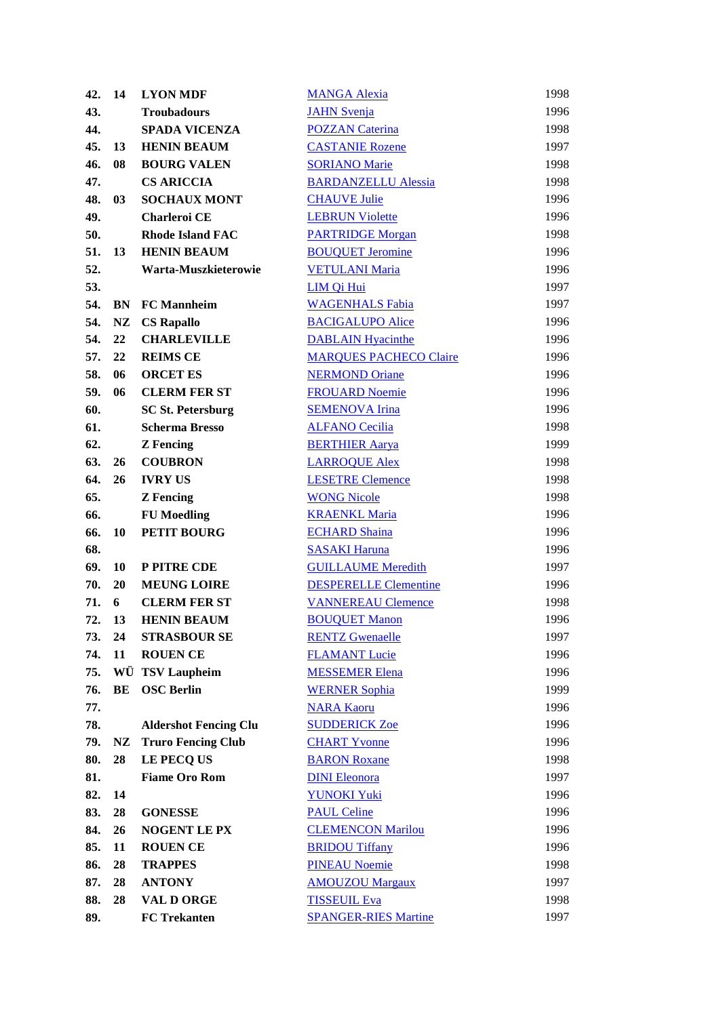| 42. | 14 | <b>LYON MDF</b>              | <b>MANGA Alexia</b>           | 1998 |
|-----|----|------------------------------|-------------------------------|------|
| 43. |    | <b>Troubadours</b>           | <b>JAHN</b> Svenja            | 1996 |
| 44. |    | <b>SPADA VICENZA</b>         | <b>POZZAN Caterina</b>        | 1998 |
| 45. | 13 | <b>HENIN BEAUM</b>           | <b>CASTANIE Rozene</b>        | 1997 |
| 46. | 08 | <b>BOURG VALEN</b>           | <b>SORIANO Marie</b>          | 1998 |
| 47. |    | <b>CS ARICCIA</b>            | <b>BARDANZELLU Alessia</b>    | 1998 |
| 48. | 03 | <b>SOCHAUX MONT</b>          | <b>CHAUVE Julie</b>           | 1996 |
| 49. |    | <b>Charleroi CE</b>          | <b>LEBRUN Violette</b>        | 1996 |
| 50. |    | <b>Rhode Island FAC</b>      | <b>PARTRIDGE Morgan</b>       | 1998 |
| 51. | 13 | <b>HENIN BEAUM</b>           | <b>BOUQUET Jeromine</b>       | 1996 |
| 52. |    | Warta-Muszkieterowie         | <b>VETULANI Maria</b>         | 1996 |
| 53. |    |                              | LIM Qi Hui                    | 1997 |
| 54. | BN | <b>FC</b> Mannheim           | <b>WAGENHALS Fabia</b>        | 1997 |
| 54. | NZ | <b>CS Rapallo</b>            | <b>BACIGALUPO Alice</b>       | 1996 |
| 54. | 22 | <b>CHARLEVILLE</b>           | <b>DABLAIN Hyacinthe</b>      | 1996 |
| 57. | 22 | <b>REIMS CE</b>              | <b>MARQUES PACHECO Claire</b> | 1996 |
| 58. | 06 | <b>ORCET ES</b>              | <b>NERMOND Oriane</b>         | 1996 |
| 59. | 06 | <b>CLERM FER ST</b>          | <b>FROUARD Noemie</b>         | 1996 |
| 60. |    | <b>SC St. Petersburg</b>     | <b>SEMENOVA Irina</b>         | 1996 |
| 61. |    | <b>Scherma Bresso</b>        | <b>ALFANO Cecilia</b>         | 1998 |
| 62. |    | <b>Z</b> Fencing             | <b>BERTHIER Aarya</b>         | 1999 |
| 63. | 26 | <b>COUBRON</b>               | <b>LARROQUE Alex</b>          | 1998 |
| 64. | 26 | <b>IVRY US</b>               | <b>LESETRE Clemence</b>       | 1998 |
| 65. |    | <b>Z</b> Fencing             | <b>WONG Nicole</b>            | 1998 |
| 66. |    | <b>FU</b> Moedling           | <b>KRAENKL Maria</b>          | 1996 |
| 66. | 10 | PETIT BOURG                  | <b>ECHARD Shaina</b>          | 1996 |
| 68. |    |                              | <b>SASAKI Haruna</b>          | 1996 |
| 69. | 10 | P PITRE CDE                  | <b>GUILLAUME Meredith</b>     | 1997 |
| 70. | 20 | <b>MEUNG LOIRE</b>           | <b>DESPERELLE Clementine</b>  | 1996 |
| 71. | 6  | <b>CLERM FER ST</b>          | <b>VANNEREAU Clemence</b>     | 1998 |
| 72. | 13 | <b>HENIN BEAUM</b>           | <b>BOUQUET Manon</b>          | 1996 |
| 73. | 24 | <b>STRASBOUR SE</b>          | <b>RENTZ Gwenaelle</b>        | 1997 |
| 74. | 11 | <b>ROUEN CE</b>              | <b>FLAMANT Lucie</b>          | 1996 |
| 75. | WÜ | <b>TSV Laupheim</b>          | <b>MESSEMER Elena</b>         | 1996 |
| 76. | BE | <b>OSC Berlin</b>            | <b>WERNER Sophia</b>          | 1999 |
| 77. |    |                              | <b>NARA Kaoru</b>             | 1996 |
| 78. |    | <b>Aldershot Fencing Clu</b> | <b>SUDDERICK Zoe</b>          | 1996 |
| 79. | NZ | <b>Truro Fencing Club</b>    | <b>CHART Yvonne</b>           | 1996 |
| 80. | 28 | LE PECQ US                   | <b>BARON Roxane</b>           | 1998 |
| 81. |    | <b>Fiame Oro Rom</b>         | <b>DINI Eleonora</b>          | 1997 |
| 82. | 14 |                              | <b>YUNOKI Yuki</b>            | 1996 |
| 83. | 28 | <b>GONESSE</b>               | <b>PAUL Celine</b>            | 1996 |
| 84. | 26 | <b>NOGENT LE PX</b>          | <b>CLEMENCON Marilou</b>      | 1996 |
| 85. | 11 | <b>ROUEN CE</b>              | <b>BRIDOU Tiffany</b>         | 1996 |
| 86. | 28 | <b>TRAPPES</b>               | <b>PINEAU Noemie</b>          | 1998 |
| 87. | 28 | <b>ANTONY</b>                | <b>AMOUZOU Margaux</b>        | 1997 |
| 88. | 28 | VAL D ORGE                   | <b>TISSEUIL Eva</b>           | 1998 |
| 89. |    | <b>FC</b> Trekanten          | <b>SPANGER-RIES Martine</b>   | 1997 |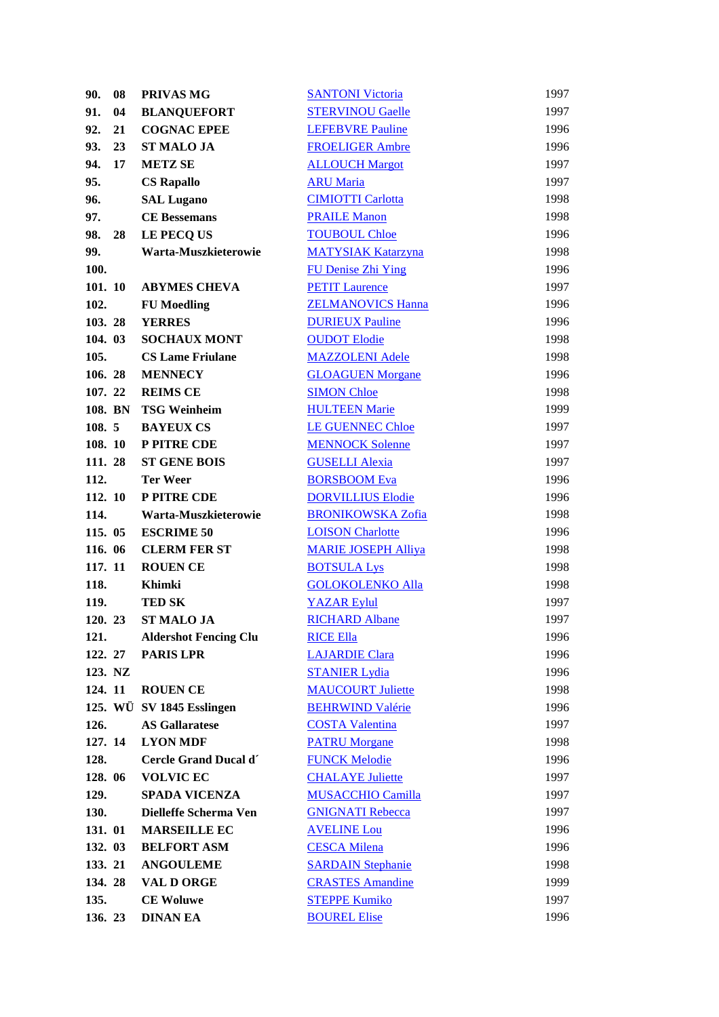| 90.     | 08 | PRIVAS MG                    | <b>SANTONI Victoria</b>    | 1997 |
|---------|----|------------------------------|----------------------------|------|
| 91.     | 04 | <b>BLANQUEFORT</b>           | <b>STERVINOU Gaelle</b>    | 1997 |
| 92.     | 21 | <b>COGNAC EPEE</b>           | <b>LEFEBVRE Pauline</b>    | 1996 |
| 93.     | 23 | <b>ST MALO JA</b>            | <b>FROELIGER Ambre</b>     | 1996 |
| 94.     | 17 | <b>METZ SE</b>               | <b>ALLOUCH Margot</b>      | 1997 |
| 95.     |    | <b>CS Rapallo</b>            | <b>ARU Maria</b>           | 1997 |
| 96.     |    | <b>SAL Lugano</b>            | <b>CIMIOTTI Carlotta</b>   | 1998 |
| 97.     |    | <b>CE Bessemans</b>          | <b>PRAILE Manon</b>        | 1998 |
| 98.     | 28 | LE PECQ US                   | <b>TOUBOUL Chloe</b>       | 1996 |
| 99.     |    | Warta-Muszkieterowie         | <b>MATYSIAK Katarzyna</b>  | 1998 |
| 100.    |    |                              | <b>FU Denise Zhi Ying</b>  | 1996 |
| 101. 10 |    | <b>ABYMES CHEVA</b>          | <b>PETIT Laurence</b>      | 1997 |
| 102.    |    | <b>FU</b> Moedling           | <b>ZELMANOVICS Hanna</b>   | 1996 |
| 103.28  |    | <b>YERRES</b>                | <b>DURIEUX Pauline</b>     | 1996 |
| 104. 03 |    | <b>SOCHAUX MONT</b>          | <b>OUDOT Elodie</b>        | 1998 |
| 105.    |    | <b>CS Lame Friulane</b>      | <b>MAZZOLENI Adele</b>     | 1998 |
| 106.28  |    | <b>MENNECY</b>               | <b>GLOAGUEN Morgane</b>    | 1996 |
| 107. 22 |    | <b>REIMS CE</b>              | <b>SIMON Chloe</b>         | 1998 |
| 108. BN |    | <b>TSG Weinheim</b>          | <b>HULTEEN Marie</b>       | 1999 |
| 108.5   |    | <b>BAYEUX CS</b>             | <b>LE GUENNEC Chloe</b>    | 1997 |
| 108. 10 |    | P PITRE CDE                  | <b>MENNOCK Solenne</b>     | 1997 |
| 111.28  |    | <b>ST GENE BOIS</b>          | <b>GUSELLI Alexia</b>      | 1997 |
| 112.    |    | <b>Ter Weer</b>              | <b>BORSBOOM Eva</b>        | 1996 |
| 112. 10 |    | P PITRE CDE                  | <b>DORVILLIUS Elodie</b>   | 1996 |
| 114.    |    | Warta-Muszkieterowie         | <b>BRONIKOWSKA Zofia</b>   | 1998 |
| 115. 05 |    | <b>ESCRIME 50</b>            | <b>LOISON Charlotte</b>    | 1996 |
| 116. 06 |    | <b>CLERM FER ST</b>          | <b>MARIE JOSEPH Alliya</b> | 1998 |
| 117. 11 |    | <b>ROUEN CE</b>              | <b>BOTSULA Lys</b>         | 1998 |
| 118.    |    | <b>Khimki</b>                | <b>GOLOKOLENKO Alla</b>    | 1998 |
| 119.    |    | <b>TED SK</b>                | <b>YAZAR Eylul</b>         | 1997 |
| 120. 23 |    | <b>ST MALO JA</b>            | <b>RICHARD Albane</b>      | 1997 |
| 121.    |    | <b>Aldershot Fencing Clu</b> | <b>RICE Ella</b>           | 1996 |
| 122. 27 |    | <b>PARIS LPR</b>             | <b>LAJARDIE Clara</b>      | 1996 |
| 123. NZ |    |                              | <b>STANIER Lydia</b>       | 1996 |
| 124. 11 |    | <b>ROUEN CE</b>              | <b>MAUCOURT Juliette</b>   | 1998 |
|         |    | 125. WÜ SV 1845 Esslingen    | <b>BEHRWIND Valérie</b>    | 1996 |
| 126.    |    | <b>AS Gallaratese</b>        | <b>COSTA Valentina</b>     | 1997 |
| 127. 14 |    | <b>LYON MDF</b>              | <b>PATRU Morgane</b>       | 1998 |
| 128.    |    | Cercle Grand Ducal d'        | <b>FUNCK Melodie</b>       | 1996 |
| 128. 06 |    | <b>VOLVIC EC</b>             | <b>CHALAYE</b> Juliette    | 1997 |
| 129.    |    | <b>SPADA VICENZA</b>         | <b>MUSACCHIO Camilla</b>   | 1997 |
| 130.    |    | Dielleffe Scherma Ven        | <b>GNIGNATI Rebecca</b>    | 1997 |
| 131. 01 |    | <b>MARSEILLE EC</b>          | <b>AVELINE Lou</b>         | 1996 |
| 132. 03 |    | <b>BELFORT ASM</b>           | <b>CESCA Milena</b>        | 1996 |
| 133. 21 |    | <b>ANGOULEME</b>             | <b>SARDAIN Stephanie</b>   | 1998 |
| 134.28  |    | <b>VAL D ORGE</b>            | <b>CRASTES Amandine</b>    | 1999 |
| 135.    |    | <b>CE Woluwe</b>             | <b>STEPPE Kumiko</b>       | 1997 |
|         |    |                              |                            |      |
| 136. 23 |    | <b>DINAN EA</b>              | <b>BOUREL Elise</b>        | 1996 |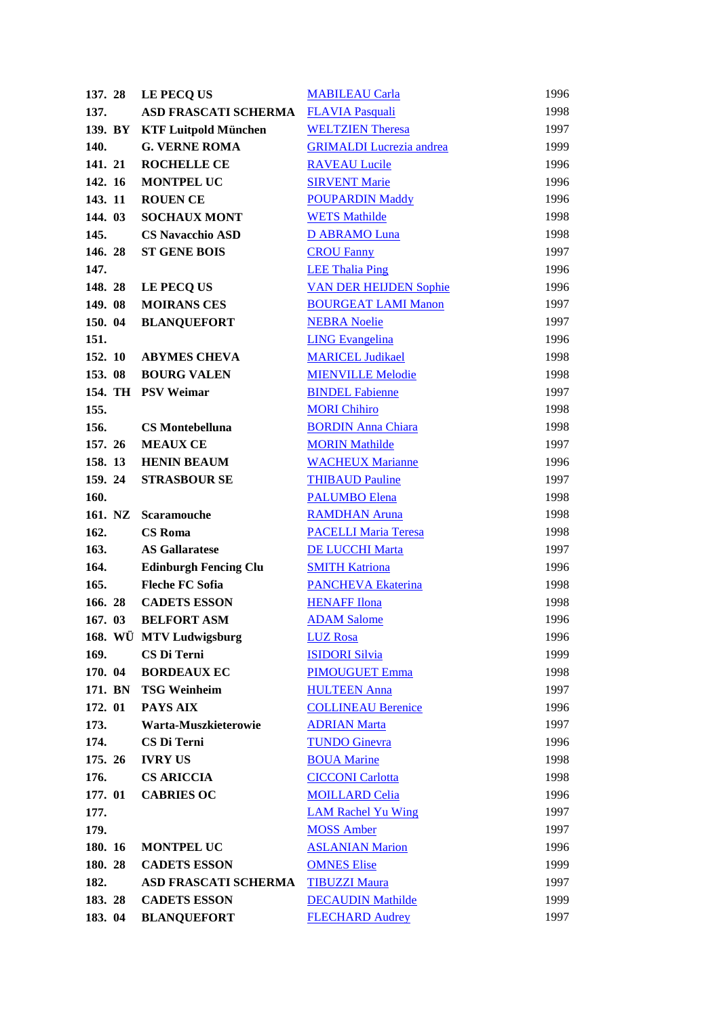| 137.28          | LE PECO US                        | <b>MABILEAU Carla</b>                          | 1996         |
|-----------------|-----------------------------------|------------------------------------------------|--------------|
| 137.            | <b>ASD FRASCATI SCHERMA</b>       | <b>FLAVIA Pasquali</b>                         | 1998         |
| 139. BY         | <b>KTF Luitpold München</b>       | <b>WELTZIEN Theresa</b>                        | 1997         |
| 140.            | <b>G. VERNE ROMA</b>              | <b>GRIMALDI</b> Lucrezia andrea                | 1999         |
| 141. 21         | <b>ROCHELLE CE</b>                | <b>RAVEAU Lucile</b>                           | 1996         |
| 142. 16         | <b>MONTPEL UC</b>                 | <b>SIRVENT Marie</b>                           | 1996         |
| 143. 11         | <b>ROUEN CE</b>                   | <b>POUPARDIN Maddy</b>                         | 1996         |
| 144. 03         | <b>SOCHAUX MONT</b>               | <b>WETS Mathilde</b>                           | 1998         |
| 145.            | <b>CS Navacchio ASD</b>           | <b>D ABRAMO Luna</b>                           | 1998         |
| 146.28          | <b>ST GENE BOIS</b>               | <b>CROU Fanny</b>                              | 1997         |
| 147.            |                                   | <b>LEE Thalia Ping</b>                         | 1996         |
| 148.28          | LE PECQ US                        | <b>VAN DER HEIJDEN Sophie</b>                  | 1996         |
| 149.08          | <b>MOIRANS CES</b>                | <b>BOURGEAT LAMI Manon</b>                     | 1997         |
| 150. 04         | <b>BLANQUEFORT</b>                | <b>NEBRA Noelie</b>                            | 1997         |
| 151.            |                                   | <b>LING Evangelina</b>                         | 1996         |
| 152. 10         | <b>ABYMES CHEVA</b>               | <b>MARICEL Judikael</b>                        | 1998         |
| 153.08          | <b>BOURG VALEN</b>                | <b>MIENVILLE Melodie</b>                       | 1998         |
|                 | 154. TH PSV Weimar                | <b>BINDEL Fabienne</b>                         | 1997         |
| 155.            |                                   | <b>MORI Chihiro</b>                            | 1998         |
| 156.            | <b>CS Montebelluna</b>            | <b>BORDIN Anna Chiara</b>                      | 1998         |
| 157. 26         | <b>MEAUX CE</b>                   | <b>MORIN Mathilde</b>                          | 1997         |
| 158. 13         | <b>HENIN BEAUM</b>                | <b>WACHEUX Marianne</b>                        | 1996         |
| 159.24          | <b>STRASBOUR SE</b>               | <b>THIBAUD Pauline</b>                         | 1997         |
| 160.            |                                   | <b>PALUMBO Elena</b>                           | 1998         |
| 161. NZ         | <b>Scaramouche</b>                | <b>RAMDHAN Aruna</b>                           | 1998         |
| 162.            | <b>CS</b> Roma                    | <b>PACELLI Maria Teresa</b>                    | 1998         |
| 163.            | <b>AS Gallaratese</b>             | DE LUCCHI Marta                                | 1997         |
| 164.            | <b>Edinburgh Fencing Clu</b>      | <b>SMITH Katriona</b>                          | 1996         |
| 165.            | <b>Fleche FC Sofia</b>            | <b>PANCHEVA Ekaterina</b>                      | 1998         |
| 166.28          | <b>CADETS ESSON</b>               | <b>HENAFF</b> Ilona                            | 1998         |
| 167. 03         | <b>BELFORT ASM</b>                | <b>ADAM Salome</b>                             | 1996         |
|                 | 168. WÜ MTV Ludwigsburg           | <b>LUZ</b> Rosa                                | 1996         |
| 169.<br>170. 04 | CS Di Terni<br><b>BORDEAUX EC</b> | <b>ISIDORI Silvia</b><br><b>PIMOUGUET Emma</b> | 1999<br>1998 |
| 171. BN         | <b>TSG Weinheim</b>               | <b>HULTEEN Anna</b>                            | 1997         |
| 172. 01         | PAYS AIX                          | <b>COLLINEAU Berenice</b>                      | 1996         |
| 173.            | Warta-Muszkieterowie              | <b>ADRIAN Marta</b>                            | 1997         |
| 174.            | CS Di Terni                       | <b>TUNDO Ginevra</b>                           | 1996         |
| 175. 26         | <b>IVRY US</b>                    | <b>BOUA Marine</b>                             | 1998         |
| 176.            | <b>CS ARICCIA</b>                 | <b>CICCONI Carlotta</b>                        | 1998         |
| 177. 01         | <b>CABRIES OC</b>                 | <b>MOILLARD Celia</b>                          | 1996         |
| 177.            |                                   | <b>LAM Rachel Yu Wing</b>                      | 1997         |
| 179.            |                                   | <b>MOSS Amber</b>                              | 1997         |
| 180. 16         | <b>MONTPEL UC</b>                 | <b>ASLANIAN Marion</b>                         | 1996         |
| 180. 28         | <b>CADETS ESSON</b>               | <b>OMNES Elise</b>                             | 1999         |
| 182.            | <b>ASD FRASCATI SCHERMA</b>       | <b>TIBUZZI Maura</b>                           | 1997         |
| 183.28          | <b>CADETS ESSON</b>               | <b>DECAUDIN Mathilde</b>                       | 1999         |
| 183. 04         | <b>BLANQUEFORT</b>                | <b>FLECHARD Audrey</b>                         | 1997         |
|                 |                                   |                                                |              |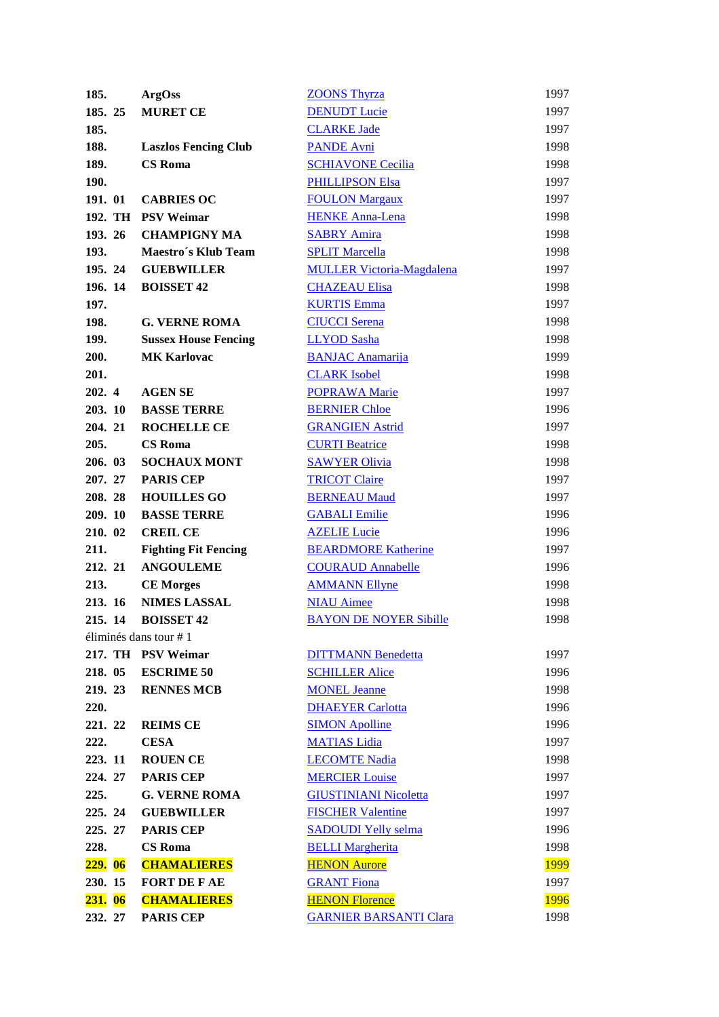| 185.           | <b>ArgOss</b>               | <b>ZOONS Thyrza</b>              | 1997        |
|----------------|-----------------------------|----------------------------------|-------------|
| 185. 25        | <b>MURET CE</b>             | <b>DENUDT Lucie</b>              | 1997        |
| 185.           |                             | <b>CLARKE Jade</b>               | 1997        |
| 188.           | <b>Laszlos Fencing Club</b> | <b>PANDE Avni</b>                | 1998        |
| 189.           | <b>CS</b> Roma              | <b>SCHIAVONE Cecilia</b>         | 1998        |
| 190.           |                             | <b>PHILLIPSON Elsa</b>           | 1997        |
| 191. 01        | <b>CABRIES OC</b>           | <b>FOULON Margaux</b>            | 1997        |
|                | 192. TH PSV Weimar          | <b>HENKE Anna-Lena</b>           | 1998        |
| 193. 26        | <b>CHAMPIGNY MA</b>         | <b>SABRY Amira</b>               | 1998        |
| 193.           | Maestro's Klub Team         | <b>SPLIT Marcella</b>            | 1998        |
| 195.24         | <b>GUEBWILLER</b>           | <b>MULLER Victoria-Magdalena</b> | 1997        |
| 196. 14        | <b>BOISSET 42</b>           | <b>CHAZEAU Elisa</b>             | 1998        |
| 197.           |                             | <b>KURTIS Emma</b>               | 1997        |
| 198.           | <b>G. VERNE ROMA</b>        | <b>CIUCCI</b> Serena             | 1998        |
| 199.           | <b>Sussex House Fencing</b> | <b>LLYOD</b> Sasha               | 1998        |
| 200.           | <b>MK Karlovac</b>          | <b>BANJAC Anamarija</b>          | 1999        |
| 201.           |                             | <b>CLARK</b> Isobel              | 1998        |
| 202. 4         | <b>AGEN SE</b>              | <b>POPRAWA Marie</b>             | 1997        |
| 203. 10        | <b>BASSE TERRE</b>          | <b>BERNIER Chloe</b>             | 1996        |
| 204. 21        | <b>ROCHELLE CE</b>          | <b>GRANGIEN Astrid</b>           | 1997        |
| 205.           | <b>CS</b> Roma              | <b>CURTI Beatrice</b>            | 1998        |
| 206. 03        | <b>SOCHAUX MONT</b>         | <b>SAWYER Olivia</b>             | 1998        |
| 207. 27        | <b>PARIS CEP</b>            | <b>TRICOT Claire</b>             | 1997        |
| 208.28         | <b>HOUILLES GO</b>          | <b>BERNEAU Maud</b>              | 1997        |
| 209. 10        | <b>BASSE TERRE</b>          | <b>GABALI</b> Emilie             | 1996        |
| 210. 02        | <b>CREIL CE</b>             | <b>AZELIE Lucie</b>              | 1996        |
| 211.           | <b>Fighting Fit Fencing</b> | <b>BEARDMORE Katherine</b>       | 1997        |
| 212. 21        | <b>ANGOULEME</b>            | <b>COURAUD Annabelle</b>         | 1996        |
| 213.           | <b>CE Morges</b>            | <b>AMMANN Ellyne</b>             | 1998        |
| 213. 16        | <b>NIMES LASSAL</b>         | <b>NIAU Aimee</b>                | 1998        |
| 215. 14        | <b>BOISSET 42</b>           | <b>BAYON DE NOYER Sibille</b>    | 1998        |
|                | éliminés dans tour $# 1$    |                                  |             |
|                | 217. TH PSV Weimar          | <b>DITTMANN Benedetta</b>        | 1997        |
| 218. 05        | <b>ESCRIME 50</b>           | <b>SCHILLER Alice</b>            | 1996        |
| 219.23         | <b>RENNES MCB</b>           | <b>MONEL Jeanne</b>              | 1998        |
| 220.           |                             | <b>DHAEYER Carlotta</b>          | 1996        |
| 221. 22        | <b>REIMS CE</b>             | <b>SIMON Apolline</b>            | 1996        |
| 222.           | <b>CESA</b>                 | <b>MATIAS Lidia</b>              | 1997        |
| 223. 11        | <b>ROUEN CE</b>             | <b>LECOMTE Nadia</b>             | 1998        |
| 224. 27        | <b>PARIS CEP</b>            | <b>MERCIER Louise</b>            | 1997        |
| 225.           | <b>G. VERNE ROMA</b>        | <b>GIUSTINIANI Nicoletta</b>     | 1997        |
| 225. 24        | <b>GUEBWILLER</b>           | <b>FISCHER Valentine</b>         | 1997        |
| 225. 27        | <b>PARIS CEP</b>            | <b>SADOUDI Yelly selma</b>       | 1996        |
| 228.           | <b>CS</b> Roma              | <b>BELLI Margherita</b>          | 1998        |
| <b>229.</b> 06 | <b>CHAMALIERES</b>          | <b>HENON Aurore</b>              | <b>1999</b> |
| 230. 15        | <b>FORT DE FAE</b>          | <b>GRANT Fiona</b>               | 1997        |
| 231. 06        | <b>CHAMALIERES</b>          | <b>HENON Florence</b>            | <b>1996</b> |
| 232. 27        | <b>PARIS CEP</b>            | <b>GARNIER BARSANTI Clara</b>    | 1998        |